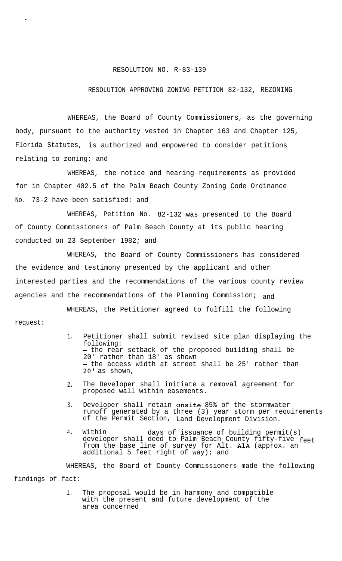## RESOLUTION NO. R-83-139

## RESOLUTION APPROVING ZONING PETITION 82-132, REZONING

WHEREAS, the Board of County Commissioners, as the governing body, pursuant to the authority vested in Chapter 163 and Chapter 125, Florida Statutes, is authorized and empowered to consider petitions relating to zoning: and

WHEREAS, the notice and hearing requirements as provided for in Chapter 402.5 of the Palm Beach County Zoning Code Ordinance No. 73-2 have been satisfied: and

WHEREAS, Petition No. 82-132 was presented to the Board of County Commissioners of Palm Beach County at its public hearing conducted on 23 September 1982; and

WHEREAS, the Board of County Commissioners has considered the evidence and testimony presented by the applicant and other interested parties and the recommendations of the various county review agencies and the recommendations of the Planning Commission; and

WHEREAS, the Petitioner agreed to fulfill the following request:

- 1. Petitioner shall submit revised site plan displaying the following: - the rear setback of the proposed building shall be 20' rather than 18' as shown - the access width at street shall be 25' rather than 20' as shown,
- 2. The Developer shall initiate a removal agreement for proposed wall within easements.
- 3. Developer shall retain onsite 85% of the stormwater runoff generated by a three (3) year storm per requirements of the Permit Section, Land Development Division.
- 4. Within days of issuance of building permit(s) developer shall deed to Palm Beach County fifty-five feet from the base line of survey for Alt. AlA (approx. an additional 5 feet right of way); and

WHEREAS, the Board of County Commissioners made the following

findings of fact:

.

1. The proposal would be in harmony and compatible with the present and future development of the area concerned